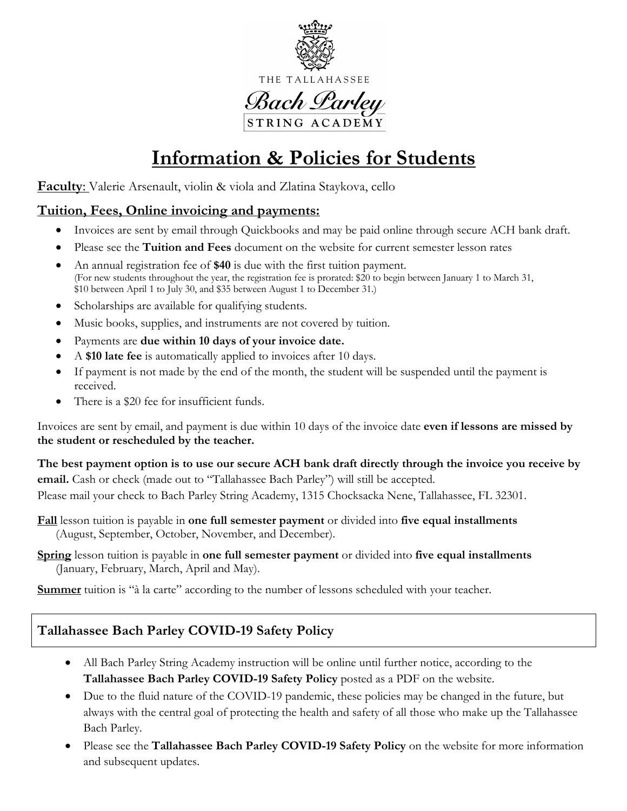

THE TALLAHASSEE

<u> Bach Larley</u> STRING ACADEMY

# **Information & Policies for Students**

**Faculty**: Valerie Arsenault, violin & viola and Zlatina Staykova, cello

### **Tuition, Fees, Online invoicing and payments:**

- Invoices are sent by email through Quickbooks and may be paid online through secure ACH bank draft.
- Please see the **Tuition and Fees** document on the website for current semester lesson rates
- An annual registration fee of **\$40** is due with the first tuition payment. (For new students throughout the year, the registration fee is prorated: \$20 to begin between January 1 to March 31, \$10 between April 1 to July 30, and \$35 between August 1 to December 31.)
- Scholarships are available for qualifying students.
- Music books, supplies, and instruments are not covered by tuition.
- Payments are **due within 10 days of your invoice date.**
- A **\$10 late fee** is automatically applied to invoices after 10 days.
- If payment is not made by the end of the month, the student will be suspended until the payment is received.
- There is a \$20 fee for insufficient funds.

Invoices are sent by email, and payment is due within 10 days of the invoice date **even if lessons are missed by the student or rescheduled by the teacher.**

The best payment option is to use our secure ACH bank draft directly through the invoice you receive by **email.** Cash or check (made out to "Tallahassee Bach Parley") will still be accepted. Please mail your check to Bach Parley String Academy, 1315 Chocksacka Nene, Tallahassee, FL 32301.

**Fall** lesson tuition is payable in **one full semester payment** or divided into **five equal installments** (August, September, October, November, and December).

**Spring** lesson tuition is payable in **one full semester payment** or divided into **five equal installments** (January, February, March, April and May).

**Summer** tuition is "à la carte" according to the number of lessons scheduled with your teacher.

### **Tallahassee Bach Parley COVID-19 Safety Policy**

- All Bach Parley String Academy instruction will be online until further notice, according to the **Tallahassee Bach Parley COVID-19 Safety Policy** posted as a PDF on the website.
- Due to the fluid nature of the COVID-19 pandemic, these policies may be changed in the future, but always with the central goal of protecting the health and safety of all those who make up the Tallahassee Bach Parley.
- Please see the **Tallahassee Bach Parley COVID-19 Safety Policy** on the website for more information and subsequent updates.